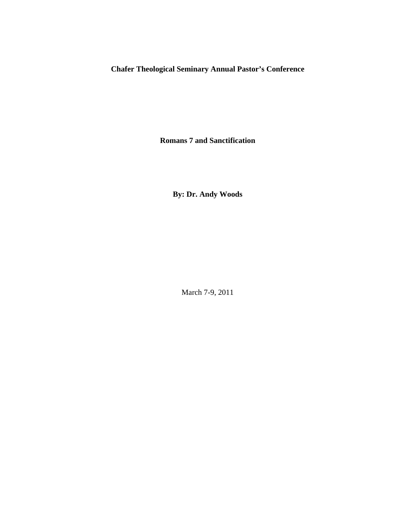**Chafer Theological Seminary Annual Pastor's Conference** 

**Romans 7 and Sanctification** 

**By: Dr. Andy Woods** 

March 7-9, 2011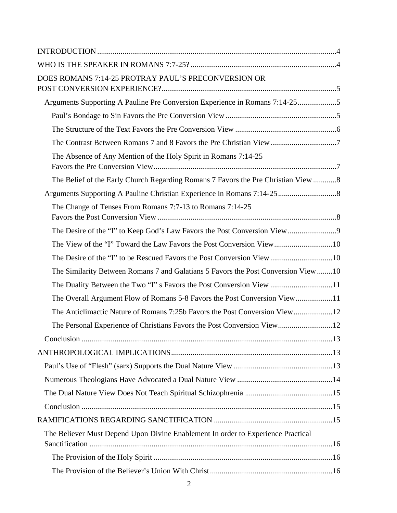| DOES ROMANS 7:14-25 PROTRAY PAUL'S PRECONVERSION OR                                |  |
|------------------------------------------------------------------------------------|--|
| Arguments Supporting A Pauline Pre Conversion Experience in Romans 7:14-255        |  |
|                                                                                    |  |
|                                                                                    |  |
|                                                                                    |  |
| The Absence of Any Mention of the Holy Spirit in Romans 7:14-25                    |  |
| The Belief of the Early Church Regarding Romans 7 Favors the Pre Christian View  8 |  |
|                                                                                    |  |
| The Change of Tenses From Romans 7:7-13 to Romans 7:14-25                          |  |
|                                                                                    |  |
|                                                                                    |  |
|                                                                                    |  |
| The Similarity Between Romans 7 and Galatians 5 Favors the Post Conversion View10  |  |
| The Duality Between the Two "I" s Favors the Post Conversion View 11               |  |
|                                                                                    |  |
|                                                                                    |  |
|                                                                                    |  |
|                                                                                    |  |
|                                                                                    |  |
|                                                                                    |  |
|                                                                                    |  |
|                                                                                    |  |
|                                                                                    |  |
|                                                                                    |  |
| The Believer Must Depend Upon Divine Enablement In order to Experience Practical   |  |
|                                                                                    |  |
|                                                                                    |  |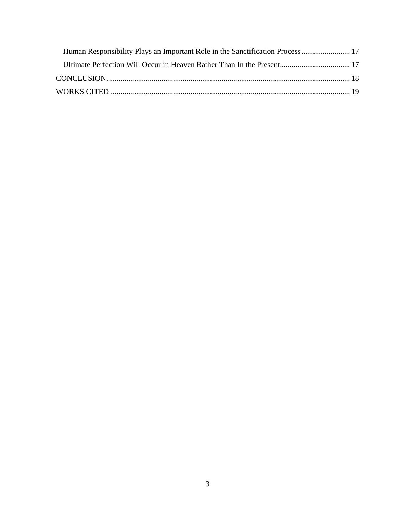| Human Responsibility Plays an Important Role in the Sanctification Process 17 |  |
|-------------------------------------------------------------------------------|--|
|                                                                               |  |
|                                                                               |  |
|                                                                               |  |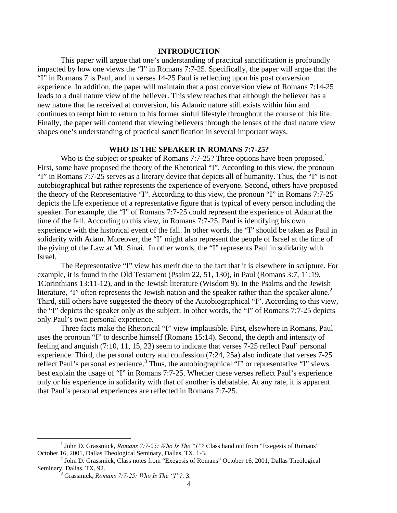## **INTRODUCTION**

 This paper will argue that one's understanding of practical sanctification is profoundly impacted by how one views the "I" in Romans 7:7-25. Specifically, the paper will argue that the "I" in Romans 7 is Paul, and in verses 14-25 Paul is reflecting upon his post conversion experience. In addition, the paper will maintain that a post conversion view of Romans 7:14-25 leads to a dual nature view of the believer. This view teaches that although the believer has a new nature that he received at conversion, his Adamic nature still exists within him and continues to tempt him to return to his former sinful lifestyle throughout the course of this life. Finally, the paper will contend that viewing believers through the lenses of the dual nature view shapes one's understanding of practical sanctification in several important ways.

# **WHO IS THE SPEAKER IN ROMANS 7:7-25?**

Who is the subject or speaker of Romans 7:7-25? Three options have been proposed.<sup>1</sup> First, some have proposed the theory of the Rhetorical "I". According to this view, the pronoun "I" in Romans 7:7-25 serves as a literary device that depicts all of humanity. Thus, the "I" is not autobiographical but rather represents the experience of everyone. Second, others have proposed the theory of the Representative "I". According to this view, the pronoun "I" in Romans 7:7-25 depicts the life experience of a representative figure that is typical of every person including the speaker. For example, the "I" of Romans 7:7-25 could represent the experience of Adam at the time of the fall. According to this view, in Romans 7:7-25, Paul is identifying his own experience with the historical event of the fall. In other words, the "I" should be taken as Paul in solidarity with Adam. Moreover, the "I" might also represent the people of Israel at the time of the giving of the Law at Mt. Sinai. In other words, the "I" represents Paul in solidarity with Israel.

The Representative "I" view has merit due to the fact that it is elsewhere in scripture. For example, it is found in the Old Testament (Psalm 22, 51, 130), in Paul (Romans 3:7, 11:19, 1Corinthians 13:11-12), and in the Jewish literature (Wisdom 9). In the Psalms and the Jewish literature, "I" often represents the Jewish nation and the speaker rather than the speaker alone.<sup>2</sup> Third, still others have suggested the theory of the Autobiographical "I". According to this view, the "I" depicts the speaker only as the subject. In other words, the "I" of Romans 7:7-25 depicts only Paul's own personal experience.

 Three facts make the Rhetorical "I" view implausible. First, elsewhere in Romans, Paul uses the pronoun "I" to describe himself (Romans 15:14). Second, the depth and intensity of feeling and anguish (7:10, 11, 15, 23) seem to indicate that verses 7-25 reflect Paul' personal experience. Third, the personal outcry and confession (7:24, 25a) also indicate that verses 7-25 reflect Paul's personal experience.<sup>3</sup> Thus, the autobiographical "I" or representative "I" views best explain the usage of "I" in Romans 7:7-25. Whether these verses reflect Paul's experience only or his experience in solidarity with that of another is debatable. At any rate, it is apparent that Paul's personal experiences are reflected in Romans 7:7-25.

 $\frac{1}{1}$  $<sup>1</sup>$  John D. Grassmick, *Romans 7:7-25: Who Is The "I"?* Class hand out from "Exegesis of Romans"</sup> October 16, 2001, Dallas Theological Seminary, Dallas, TX, 1-3. 2

 $<sup>2</sup>$  John D. Grassmick, Class notes from "Exegesis of Romans" October 16, 2001, Dallas Theological</sup> Seminary, Dallas, TX, 92.

Grassmick, *Romans 7:7-25: Who Is The "I"?,* 3.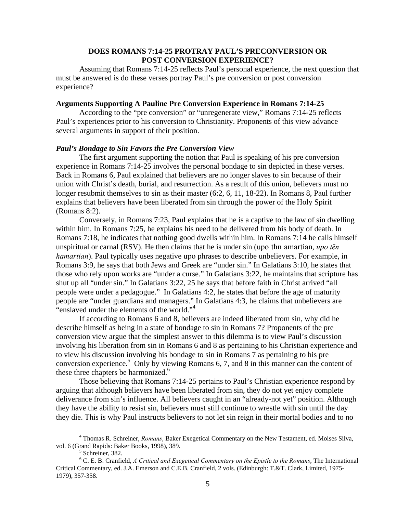# **DOES ROMANS 7:14-25 PROTRAY PAUL'S PRECONVERSION OR POST CONVERSION EXPERIENCE?**

Assuming that Romans 7:14-25 reflects Paul's personal experience, the next question that must be answered is do these verses portray Paul's pre conversion or post conversion experience?

### **Arguments Supporting A Pauline Pre Conversion Experience in Romans 7:14-25**

According to the "pre conversion" or "unregenerate view," Romans 7:14-25 reflects Paul's experiences prior to his conversion to Christianity. Proponents of this view advance several arguments in support of their position.

#### *Paul's Bondage to Sin Favors the Pre Conversion View*

 The first argument supporting the notion that Paul is speaking of his pre conversion experience in Romans 7:14-25 involves the personal bondage to sin depicted in these verses. Back in Romans 6, Paul explained that believers are no longer slaves to sin because of their union with Christ's death, burial, and resurrection. As a result of this union, believers must no longer resubmit themselves to sin as their master (6:2, 6, 11, 18-22). In Romans 8, Paul further explains that believers have been liberated from sin through the power of the Holy Spirit (Romans 8:2).

Conversely, in Romans 7:23, Paul explains that he is a captive to the law of sin dwelling within him. In Romans 7:25, he explains his need to be delivered from his body of death. In Romans 7:18, he indicates that nothing good dwells within him. In Romans 7:14 he calls himself unspiritual or carnal (RSV). He then claims that he is under sin (upo thn amartian, *upo tēn hamartian*). Paul typically uses negative upo phrases to describe unbelievers. For example, in Romans 3:9, he says that both Jews and Greek are "under sin." In Galatians 3:10, he states that those who rely upon works are "under a curse." In Galatians 3:22, he maintains that scripture has shut up all "under sin." In Galatians 3:22, 25 he says that before faith in Christ arrived "all people were under a pedagogue." In Galatians 4:2, he states that before the age of maturity people are "under guardians and managers." In Galatians 4:3, he claims that unbelievers are "enslaved under the elements of the world."<sup>4</sup>

If according to Romans 6 and 8, believers are indeed liberated from sin, why did he describe himself as being in a state of bondage to sin in Romans 7? Proponents of the pre conversion view argue that the simplest answer to this dilemma is to view Paul's discussion involving his liberation from sin in Romans 6 and 8 as pertaining to his Christian experience and to view his discussion involving his bondage to sin in Romans 7 as pertaining to his pre conversion experience.<sup>5</sup> Only by viewing Romans 6, 7, and 8 in this manner can the content of these three chapters be harmonized.<sup>6</sup>

Those believing that Romans 7:14-25 pertains to Paul's Christian experience respond by arguing that although believers have been liberated from sin, they do not yet enjoy complete deliverance from sin's influence. All believers caught in an "already-not yet" position. Although they have the ability to resist sin, believers must still continue to wrestle with sin until the day they die. This is why Paul instructs believers to not let sin reign in their mortal bodies and to no

 $\frac{1}{4}$  Thomas R. Schreiner, *Romans*, Baker Exegetical Commentary on the New Testament, ed. Moises Silva, vol. 6 (Grand Rapids: Baker Books, 1998), 389.

<sup>&</sup>lt;sup>5</sup> Schreiner, 382.

<sup>6</sup> C. E. B. Cranfield, *A Critical and Exegetical Commentary on the Epistle to the Romans*, The International Critical Commentary, ed. J.A. Emerson and C.E.B. Cranfield, 2 vols. (Edinburgh: T.&T. Clark, Limited, 1975- 1979), 357-358.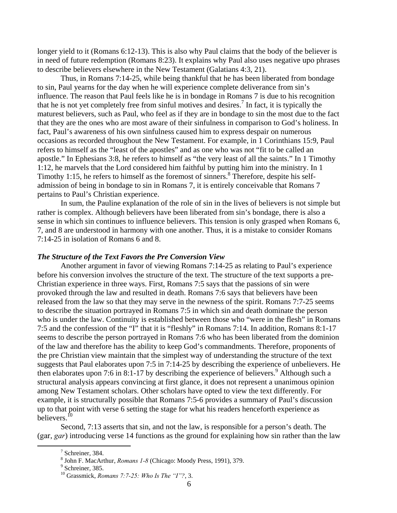longer yield to it (Romans 6:12-13). This is also why Paul claims that the body of the believer is in need of future redemption (Romans 8:23). It explains why Paul also uses negative upo phrases to describe believers elsewhere in the New Testament (Galatians 4:3, 21).

Thus, in Romans 7:14-25, while being thankful that he has been liberated from bondage to sin, Paul yearns for the day when he will experience complete deliverance from sin's influence. The reason that Paul feels like he is in bondage in Romans 7 is due to his recognition that he is not yet completely free from sinful motives and desires.<sup>7</sup> In fact, it is typically the maturest believers, such as Paul, who feel as if they are in bondage to sin the most due to the fact that they are the ones who are most aware of their sinfulness in comparison to God's holiness. In fact, Paul's awareness of his own sinfulness caused him to express despair on numerous occasions as recorded throughout the New Testament. For example, in 1 Corinthians 15:9, Paul refers to himself as the "least of the apostles" and as one who was not "fit to be called an apostle." In Ephesians 3:8, he refers to himself as "the very least of all the saints." In 1 Timothy 1:12, he marvels that the Lord considered him faithful by putting him into the ministry. In 1 Timothy 1:15, he refers to himself as the foremost of sinners. $8$  Therefore, despite his selfadmission of being in bondage to sin in Romans 7, it is entirely conceivable that Romans 7 pertains to Paul's Christian experience.

In sum, the Pauline explanation of the role of sin in the lives of believers is not simple but rather is complex. Although believers have been liberated from sin's bondage, there is also a sense in which sin continues to influence believers. This tension is only grasped when Romans 6, 7, and 8 are understood in harmony with one another. Thus, it is a mistake to consider Romans 7:14-25 in isolation of Romans 6 and 8.

### *The Structure of the Text Favors the Pre Conversion View*

 Another argument in favor of viewing Romans 7:14-25 as relating to Paul's experience before his conversion involves the structure of the text. The structure of the text supports a pre-Christian experience in three ways. First, Romans 7:5 says that the passions of sin were provoked through the law and resulted in death. Romans 7:6 says that believers have been released from the law so that they may serve in the newness of the spirit. Romans 7:7-25 seems to describe the situation portrayed in Romans 7:5 in which sin and death dominate the person who is under the law. Continuity is established between those who "were in the flesh" in Romans 7:5 and the confession of the "I" that it is "fleshly" in Romans 7:14. In addition, Romans 8:1-17 seems to describe the person portrayed in Romans 7:6 who has been liberated from the dominion of the law and therefore has the ability to keep God's commandments. Therefore, proponents of the pre Christian view maintain that the simplest way of understanding the structure of the text suggests that Paul elaborates upon 7:5 in 7:14-25 by describing the experience of unbelievers. He then elaborates upon 7:6 in 8:1-17 by describing the experience of believers.<sup>9</sup> Although such a structural analysis appears convincing at first glance, it does not represent a unanimous opinion among New Testament scholars. Other scholars have opted to view the text differently. For example, it is structurally possible that Romans 7:5-6 provides a summary of Paul's discussion up to that point with verse 6 setting the stage for what his readers henceforth experience as believers.10

Second, 7:13 asserts that sin, and not the law, is responsible for a person's death. The (gar, *gar*) introducing verse 14 functions as the ground for explaining how sin rather than the law

 <sup>7</sup>  $7$  Schreiner, 384.

<sup>&</sup>lt;sup>8</sup> John F. MacArthur, *Romans 1-8* (Chicago: Moody Press, 1991), 379.

 $9$  Schreiner, 385.

<sup>10</sup> Grassmick, *Romans 7:7-25: Who Is The "I"?*, 3.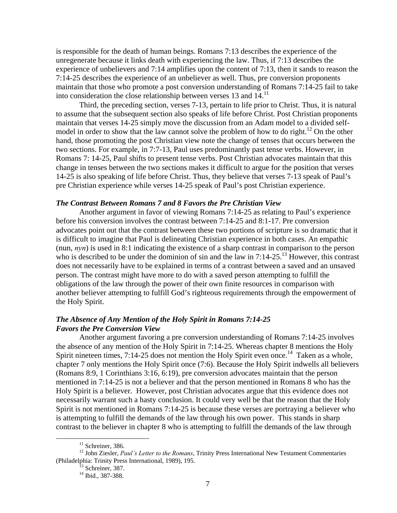is responsible for the death of human beings. Romans 7:13 describes the experience of the unregenerate because it links death with experiencing the law. Thus, if 7:13 describes the experience of unbelievers and 7:14 amplifies upon the content of 7:13, then it sands to reason the 7:14-25 describes the experience of an unbeliever as well. Thus, pre conversion proponents maintain that those who promote a post conversion understanding of Romans 7:14-25 fail to take into consideration the close relationship between verses 13 and 14.11

Third, the preceding section, verses 7-13, pertain to life prior to Christ. Thus, it is natural to assume that the subsequent section also speaks of life before Christ. Post Christian proponents maintain that verses 14-25 simply move the discussion from an Adam model to a divided selfmodel in order to show that the law cannot solve the problem of how to do right.<sup>12</sup> On the other hand, those promoting the post Christian view note the change of tenses that occurs between the two sections. For example, in 7:7-13, Paul uses predominantly past tense verbs. However, in Romans 7: 14-25, Paul shifts to present tense verbs. Post Christian advocates maintain that this change in tenses between the two sections makes it difficult to argue for the position that verses 14-25 is also speaking of life before Christ. Thus, they believe that verses 7-13 speak of Paul's pre Christian experience while verses 14-25 speak of Paul's post Christian experience.

### *The Contrast Between Romans 7 and 8 Favors the Pre Christian View*

 Another argument in favor of viewing Romans 7:14-25 as relating to Paul's experience before his conversion involves the contrast between 7:14-25 and 8:1-17. Pre conversion advocates point out that the contrast between these two portions of scripture is so dramatic that it is difficult to imagine that Paul is delineating Christian experience in both cases. An empathic (nun, *nyn*) is used in 8:1 indicating the existence of a sharp contrast in comparison to the person who is described to be under the dominion of sin and the law in 7:14-25.<sup>13</sup> However, this contrast does not necessarily have to be explained in terms of a contrast between a saved and an unsaved person. The contrast might have more to do with a saved person attempting to fulfill the obligations of the law through the power of their own finite resources in comparison with another believer attempting to fulfill God's righteous requirements through the empowerment of the Holy Spirit.

# *The Absence of Any Mention of the Holy Spirit in Romans 7:14-25 Favors the Pre Conversion View*

 Another argument favoring a pre conversion understanding of Romans 7:14-25 involves the absence of any mention of the Holy Spirit in 7:14-25. Whereas chapter 8 mentions the Holy Spirit nineteen times, 7:14-25 does not mention the Holy Spirit even once.<sup>14</sup> Taken as a whole, chapter 7 only mentions the Holy Spirit once (7:6). Because the Holy Spirit indwells all believers (Romans 8:9, 1 Corinthians 3:16, 6:19), pre conversion advocates maintain that the person mentioned in 7:14-25 is not a believer and that the person mentioned in Romans 8 who has the Holy Spirit is a believer. However, post Christian advocates argue that this evidence does not necessarily warrant such a hasty conclusion. It could very well be that the reason that the Holy Spirit is not mentioned in Romans 7:14-25 is because these verses are portraying a believer who is attempting to fulfill the demands of the law through his own power. This stands in sharp contrast to the believer in chapter 8 who is attempting to fulfill the demands of the law through

 $11$  Schreiner, 386.

<sup>&</sup>lt;sup>12</sup> John Ziesler, *Paul's Letter to the Romans*, Trinity Press International New Testament Commentaries (Philadelphia: Trinity Press International, 1989), 195.<br><sup>13</sup> Schreiner, 387.

<sup>&</sup>lt;sup>14</sup> Ibid., 387-388.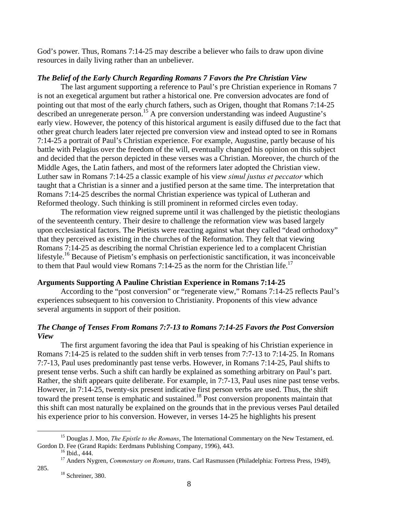God's power. Thus, Romans 7:14-25 may describe a believer who fails to draw upon divine resources in daily living rather than an unbeliever.

# *The Belief of the Early Church Regarding Romans 7 Favors the Pre Christian View*

 The last argument supporting a reference to Paul's pre Christian experience in Romans 7 is not an exegetical argument but rather a historical one. Pre conversion advocates are fond of pointing out that most of the early church fathers, such as Origen, thought that Romans 7:14-25 described an unregenerate person.<sup>15</sup> A pre conversion understanding was indeed Augustine's early view. However, the potency of this historical argument is easily diffused due to the fact that other great church leaders later rejected pre conversion view and instead opted to see in Romans 7:14-25 a portrait of Paul's Christian experience. For example, Augustine, partly because of his battle with Pelagius over the freedom of the will, eventually changed his opinion on this subject and decided that the person depicted in these verses was a Christian. Moreover, the church of the Middle Ages, the Latin fathers, and most of the reformers later adopted the Christian view. Luther saw in Romans 7:14-25 a classic example of his view *simul justus et peccator* which taught that a Christian is a sinner and a justified person at the same time. The interpretation that Romans 7:14-25 describes the normal Christian experience was typical of Lutheran and Reformed theology. Such thinking is still prominent in reformed circles even today.

The reformation view reigned supreme until it was challenged by the pietistic theologians of the seventeenth century. Their desire to challenge the reformation view was based largely upon ecclesiastical factors. The Pietists were reacting against what they called "dead orthodoxy" that they perceived as existing in the churches of the Reformation. They felt that viewing Romans 7:14-25 as describing the normal Christian experience led to a complacent Christian lifestyle.<sup>16</sup> Because of Pietism's emphasis on perfectionistic sanctification, it was inconceivable to them that Paul would view Romans 7:14-25 as the norm for the Christian life.<sup>17</sup>

### **Arguments Supporting A Pauline Christian Experience in Romans 7:14-25**

According to the "post conversion" or "regenerate view," Romans 7:14-25 reflects Paul's experiences subsequent to his conversion to Christianity. Proponents of this view advance several arguments in support of their position.

# *The Change of Tenses From Romans 7:7-13 to Romans 7:14-25 Favors the Post Conversion View*

 The first argument favoring the idea that Paul is speaking of his Christian experience in Romans 7:14-25 is related to the sudden shift in verb tenses from 7:7-13 to 7:14-25. In Romans 7:7-13, Paul uses predominantly past tense verbs. However, in Romans 7:14-25, Paul shifts to present tense verbs. Such a shift can hardly be explained as something arbitrary on Paul's part. Rather, the shift appears quite deliberate. For example, in 7:7-13, Paul uses nine past tense verbs. However, in 7:14-25, twenty-six present indicative first person verbs are used. Thus, the shift toward the present tense is emphatic and sustained.<sup>18</sup> Post conversion proponents maintain that this shift can most naturally be explained on the grounds that in the previous verses Paul detailed his experience prior to his conversion. However, in verses 14-25 he highlights his present

 <sup>15</sup> Douglas J. Moo, *The Epistle to the Romans*, The International Commentary on the New Testament, ed. Gordon D. Fee (Grand Rapids: Eerdmans Publishing Company, 1996), 443.<br><sup>16</sup> Ibid., 444.

<sup>17</sup> Anders Nygren, *Commentary on Romans*, trans. Carl Rasmussen (Philadelphia: Fortress Press, 1949), 285. 18 Schreiner, 380.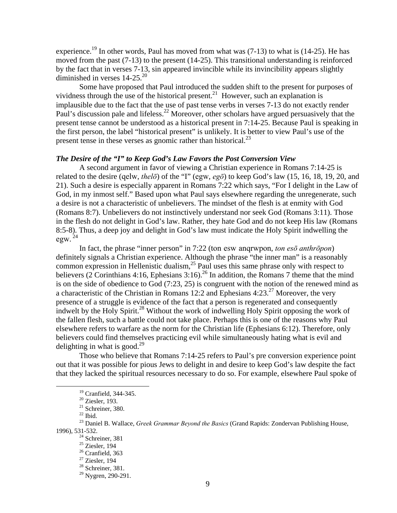experience.<sup>19</sup> In other words, Paul has moved from what was  $(7-13)$  to what is  $(14-25)$ . He has moved from the past (7-13) to the present (14-25). This transitional understanding is reinforced by the fact that in verses 7-13, sin appeared invincible while its invincibility appears slightly diminished in verses  $14-25.^{20}$ 

Some have proposed that Paul introduced the sudden shift to the present for purposes of vividness through the use of the historical present.<sup>21</sup> However, such an explanation is implausible due to the fact that the use of past tense verbs in verses 7-13 do not exactly render Paul's discussion pale and lifeless.<sup>22</sup> Moreover, other scholars have argued persuasively that the present tense cannot be understood as a historical present in 7:14-25. Because Paul is speaking in the first person, the label "historical present" is unlikely. It is better to view Paul's use of the present tense in these verses as gnomic rather than historical.<sup>23</sup>

#### *The Desire of the "I" to Keep God's Law Favors the Post Conversion View*

 A second argument in favor of viewing a Christian experience in Romans 7:14-25 is related to the desire (qelw, *thelō*) of the "I" (egw, *egō*) to keep God's law (15, 16, 18, 19, 20, and 21). Such a desire is especially apparent in Romans 7:22 which says, "For I delight in the Law of God, in my inmost self." Based upon what Paul says elsewhere regarding the unregenerate, such a desire is not a characteristic of unbelievers. The mindset of the flesh is at enmity with God (Romans 8:7). Unbelievers do not instinctively understand nor seek God (Romans 3:11). Those in the flesh do not delight in God's law. Rather, they hate God and do not keep His law (Romans 8:5-8). Thus, a deep joy and delight in God's law must indicate the Holy Spirit indwelling the egw. $^{24}$ 

In fact, the phrase "inner person" in 7:22 (ton esw anqrwpon, *ton esō anthrōpon*) definitely signals a Christian experience. Although the phrase "the inner man" is a reasonably common expression in Hellenistic dualism, $^{25}$  Paul uses this same phrase only with respect to believers (2 Corinthians 4:16, Ephesians 3:16).<sup>26</sup> In addition, the Romans 7 theme that the mind is on the side of obedience to God (7:23, 25) is congruent with the notion of the renewed mind as a characteristic of the Christian in Romans 12:2 and Ephesians 4:23.<sup>27</sup> Moreover, the very presence of a struggle is evidence of the fact that a person is regenerated and consequently indwelt by the Holy Spirit.<sup>28</sup> Without the work of indwelling Holy Spirit opposing the work of the fallen flesh, such a battle could not take place. Perhaps this is one of the reasons why Paul elsewhere refers to warfare as the norm for the Christian life (Ephesians 6:12). Therefore, only believers could find themselves practicing evil while simultaneously hating what is evil and delighting in what is good.<sup>29</sup>

 Those who believe that Romans 7:14-25 refers to Paul's pre conversion experience point out that it was possible for pious Jews to delight in and desire to keep God's law despite the fact that they lacked the spiritual resources necessary to do so. For example, elsewhere Paul spoke of

 <sup>19</sup> Cranfield, 344-345.

 $20$  Ziesler, 193.

 $21$  Schreiner, 380.

 $^{22}$  Ibid.

<sup>23</sup> Daniel B. Wallace, *Greek Grammar Beyond the Basics* (Grand Rapids: Zondervan Publishing House, 1996), 531-532.<br><sup>24</sup> Schreiner, 381

<sup>25</sup> Ziesler, 194

<sup>&</sup>lt;sup>26</sup> Cranfield, 363

<sup>27</sup> Ziesler, 194

 $28$  Schreiner, 381.

 $^{29}$  Nygren, 290-291.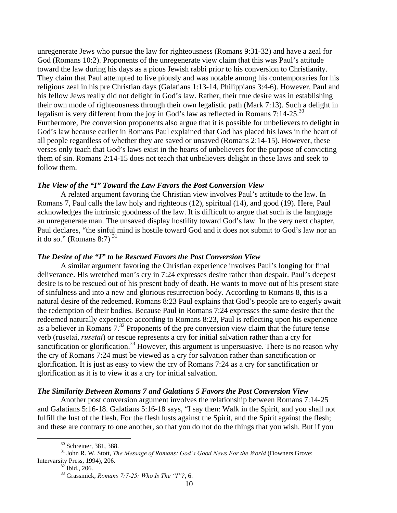unregenerate Jews who pursue the law for righteousness (Romans 9:31-32) and have a zeal for God (Romans 10:2). Proponents of the unregenerate view claim that this was Paul's attitude toward the law during his days as a pious Jewish rabbi prior to his conversion to Christianity. They claim that Paul attempted to live piously and was notable among his contemporaries for his religious zeal in his pre Christian days (Galatians 1:13-14, Philippians 3:4-6). However, Paul and his fellow Jews really did not delight in God's law. Rather, their true desire was in establishing their own mode of righteousness through their own legalistic path (Mark 7:13). Such a delight in legalism is very different from the joy in God's law as reflected in Romans  $7:14-25.^{30}$ Furthermore, Pre conversion proponents also argue that it is possible for unbelievers to delight in God's law because earlier in Romans Paul explained that God has placed his laws in the heart of all people regardless of whether they are saved or unsaved (Romans 2:14-15). However, these verses only teach that God's laws exist in the hearts of unbelievers for the purpose of convicting them of sin. Romans 2:14-15 does not teach that unbelievers delight in these laws and seek to follow them.

# *The View of the "I" Toward the Law Favors the Post Conversion View*

 A related argument favoring the Christian view involves Paul's attitude to the law. In Romans 7, Paul calls the law holy and righteous (12), spiritual (14), and good (19). Here, Paul acknowledges the intrinsic goodness of the law. It is difficult to argue that such is the language an unregenerate man. The unsaved display hostility toward God's law. In the very next chapter, Paul declares, "the sinful mind is hostile toward God and it does not submit to God's law nor an it do so." (Romans 8:7)  $31$ 

### *The Desire of the "I" to be Rescued Favors the Post Conversion View*

 A similar argument favoring the Christian experience involves Paul's longing for final deliverance. His wretched man's cry in 7:24 expresses desire rather than despair. Paul's deepest desire is to be rescued out of his present body of death. He wants to move out of his present state of sinfulness and into a new and glorious resurrection body. According to Romans 8, this is a natural desire of the redeemed. Romans 8:23 Paul explains that God's people are to eagerly await the redemption of their bodies. Because Paul in Romans 7:24 expresses the same desire that the redeemed naturally experience according to Romans 8:23, Paul is reflecting upon his experience as a believer in Romans  $7<sup>32</sup>$  Proponents of the pre conversion view claim that the future tense verb (rusetai, *rusetai*) or rescue represents a cry for initial salvation rather than a cry for sanctification or glorification.<sup>33</sup> However, this argument is unpersuasive. There is no reason why the cry of Romans 7:24 must be viewed as a cry for salvation rather than sanctification or glorification. It is just as easy to view the cry of Romans 7:24 as a cry for sanctification or glorification as it is to view it as a cry for initial salvation.

### *The Similarity Between Romans 7 and Galatians 5 Favors the Post Conversion View*

 Another post conversion argument involves the relationship between Romans 7:14-25 and Galatians 5:16-18. Galatians 5:16-18 says, "I say then: Walk in the Spirit, and you shall not fulfill the lust of the flesh. For the flesh lusts against the Spirit, and the Spirit against the flesh; and these are contrary to one another, so that you do not do the things that you wish. But if you

<sup>&</sup>lt;sup>30</sup> Schreiner, 381, 388.

<sup>31</sup> John R. W. Stott, *The Message of Romans: God's Good News For the World* (Downers Grove: Intervarsity Press, 1994), 206.<br><sup>32</sup> Ibid., 206.

<sup>33</sup> Grassmick, *Romans 7:7-25: Who Is The "I"?*, 6.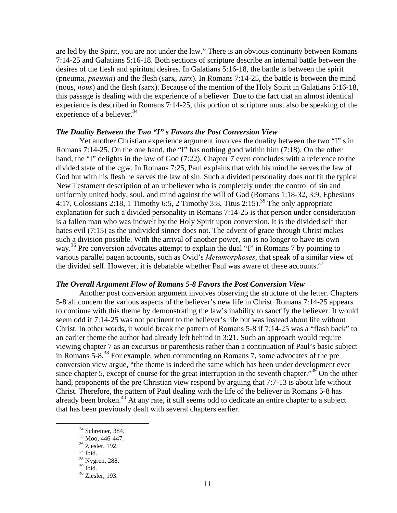are led by the Spirit, you are not under the law." There is an obvious continuity between Romans 7:14-25 and Galatians 5:16-18. Both sections of scripture describe an internal battle between the desires of the flesh and spiritual desires. In Galatians 5:16-18, the battle is between the spirit (pneuma, *pneuma*) and the flesh (sarx, *sarx*). In Romans 7:14-25, the battle is between the mind (nous, *nous*) and the flesh (sarx). Because of the mention of the Holy Spirit in Galatians 5:16-18, this passage is dealing with the experience of a believer. Due to the fact that an almost identical experience is described in Romans 7:14-25, this portion of scripture must also be speaking of the experience of a believer.  $34$ 

## *The Duality Between the Two "I" s Favors the Post Conversion View*

 Yet another Christian experience argument involves the duality between the two "I" s in Romans 7:14-25. On the one hand, the "I" has nothing good within him (7:18). On the other hand, the "I" delights in the law of God (7:22). Chapter 7 even concludes with a reference to the divided state of the egw. In Romans 7:25, Paul explains that with his mind he serves the law of God but with his flesh he serves the law of sin. Such a divided personality does not fit the typical New Testament description of an unbeliever who is completely under the control of sin and uniformly united body, soul, and mind against the will of God (Romans 1:18-32, 3:9, Ephesians 4:17, Colossians 2:18, 1 Timothy 6:5, 2 Timothy 3:8, Titus 2:15).<sup>35</sup> The only appropriate explanation for such a divided personality in Romans 7:14-25 is that person under consideration is a fallen man who was indwelt by the Holy Spirit upon conversion. It is the divided self that hates evil (7:15) as the undivided sinner does not. The advent of grace through Christ makes such a division possible. With the arrival of another power, sin is no longer to have its own way.<sup>36</sup> Pre conversion advocates attempt to explain the dual "I" in Romans 7 by pointing to various parallel pagan accounts, such as Ovid's *Metamorphoses*, that speak of a similar view of the divided self. However, it is debatable whether Paul was aware of these accounts.<sup>37</sup>

#### *The Overall Argument Flow of Romans 5-8 Favors the Post Conversion View*

 Another post conversion argument involves observing the structure of the letter. Chapters 5-8 all concern the various aspects of the believer's new life in Christ. Romans 7:14-25 appears to continue with this theme by demonstrating the law's inability to sanctify the believer. It would seem odd if 7:14-25 was not pertinent to the believer's life but was instead about life without Christ. In other words, it would break the pattern of Romans 5-8 if 7:14-25 was a "flash back" to an earlier theme the author had already left behind in 3:21. Such an approach would require viewing chapter 7 as an excursus or parenthesis rather than a continuation of Paul's basic subject in Romans 5-8.38 For example, when commenting on Romans 7, some advocates of the pre conversion view argue, "the theme is indeed the same which has been under development ever since chapter 5, except of course for the great interruption in the seventh chapter."<sup>39</sup> On the other hand, proponents of the pre Christian view respond by arguing that 7:7-13 is about life without Christ. Therefore, the pattern of Paul dealing with the life of the believer in Romans 5-8 has already been broken.<sup>40</sup> At any rate, it still seems odd to dedicate an entire chapter to a subject that has been previously dealt with several chapters earlier.

<sup>&</sup>lt;sup>34</sup> Schreiner, 384.

 $35$  Moo, 446-447.

<sup>36</sup> Ziesler, 192.

<sup>37</sup> Ibid.

<sup>&</sup>lt;sup>38</sup> Nygren, 288.

 $39$  Ibid.

 $40$  Ziesler, 193.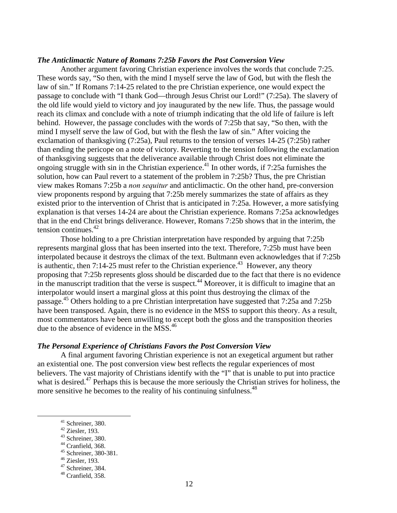### *The Anticlimactic Nature of Romans 7:25b Favors the Post Conversion View*

 Another argument favoring Christian experience involves the words that conclude 7:25. These words say, "So then, with the mind I myself serve the law of God, but with the flesh the law of sin." If Romans 7:14-25 related to the pre Christian experience, one would expect the passage to conclude with "I thank God—through Jesus Christ our Lord!" (7:25a). The slavery of the old life would yield to victory and joy inaugurated by the new life. Thus, the passage would reach its climax and conclude with a note of triumph indicating that the old life of failure is left behind. However, the passage concludes with the words of 7:25b that say, "So then, with the mind I myself serve the law of God, but with the flesh the law of sin." After voicing the exclamation of thanksgiving (7:25a), Paul returns to the tension of verses 14-25 (7:25b) rather than ending the pericope on a note of victory. Reverting to the tension following the exclamation of thanksgiving suggests that the deliverance available through Christ does not eliminate the ongoing struggle with sin in the Christian experience.<sup>41</sup> In other words, if  $7:25a$  furnishes the solution, how can Paul revert to a statement of the problem in 7:25b? Thus, the pre Christian view makes Romans 7:25b a *non sequitur* and anticlimactic. On the other hand, pre-conversion view proponents respond by arguing that 7:25b merely summarizes the state of affairs as they existed prior to the intervention of Christ that is anticipated in 7:25a. However, a more satisfying explanation is that verses 14-24 are about the Christian experience. Romans 7:25a acknowledges that in the end Christ brings deliverance. However, Romans 7:25b shows that in the interim, the tension continues.<sup>42</sup>

Those holding to a pre Christian interpretation have responded by arguing that 7:25b represents marginal gloss that has been inserted into the text. Therefore, 7:25b must have been interpolated because it destroys the climax of the text. Bultmann even acknowledges that if 7:25b is authentic, then 7:14-25 must refer to the Christian experience.<sup>43</sup> However, any theory proposing that 7:25b represents gloss should be discarded due to the fact that there is no evidence in the manuscript tradition that the verse is suspect.<sup>44</sup> Moreover, it is difficult to imagine that an interpolator would insert a marginal gloss at this point thus destroying the climax of the passage.45 Others holding to a pre Christian interpretation have suggested that 7:25a and 7:25b have been transposed. Again, there is no evidence in the MSS to support this theory. As a result, most commentators have been unwilling to except both the gloss and the transposition theories due to the absence of evidence in the MSS.<sup>46</sup>

### *The Personal Experience of Christians Favors the Post Conversion View*

 A final argument favoring Christian experience is not an exegetical argument but rather an existential one. The post conversion view best reflects the regular experiences of most believers. The vast majority of Christians identify with the "I" that is unable to put into practice what is desired.<sup>47</sup> Perhaps this is because the more seriously the Christian strives for holiness, the more sensitive he becomes to the reality of his continuing sinfulness.<sup>48</sup>

 <sup>41</sup> Schreiner, 380.

<sup>42</sup> Ziesler, 193.

<sup>43</sup> Schreiner, 380.

<sup>44</sup> Cranfield, 368.

<sup>45</sup> Schreiner, 380-381.

<sup>46</sup> Ziesler, 193.

<sup>47</sup> Schreiner, 384.

<sup>48</sup> Cranfield, 358.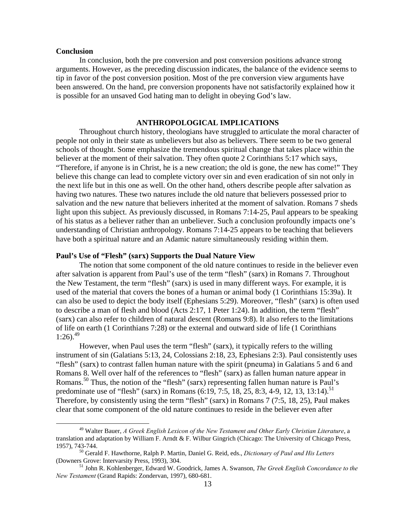#### **Conclusion**

In conclusion, both the pre conversion and post conversion positions advance strong arguments. However, as the preceding discussion indicates, the balance of the evidence seems to tip in favor of the post conversion position. Most of the pre conversion view arguments have been answered. On the hand, pre conversion proponents have not satisfactorily explained how it is possible for an unsaved God hating man to delight in obeying God's law.

## **ANTHROPOLOGICAL IMPLICATIONS**

Throughout church history, theologians have struggled to articulate the moral character of people not only in their state as unbelievers but also as believers. There seem to be two general schools of thought. Some emphasize the tremendous spiritual change that takes place within the believer at the moment of their salvation. They often quote 2 Corinthians 5:17 which says, "Therefore, if anyone is in Christ, he is a new creation; the old is gone, the new has come!" They believe this change can lead to complete victory over sin and even eradication of sin not only in the next life but in this one as well. On the other hand, others describe people after salvation as having two natures. These two natures include the old nature that believers possessed prior to salvation and the new nature that believers inherited at the moment of salvation. Romans 7 sheds light upon this subject. As previously discussed, in Romans 7:14-25, Paul appears to be speaking of his status as a believer rather than an unbeliever. Such a conclusion profoundly impacts one's understanding of Christian anthropology. Romans 7:14-25 appears to be teaching that believers have both a spiritual nature and an Adamic nature simultaneously residing within them.

### **Paul's Use of "Flesh" (sarx) Supports the Dual Nature View**

The notion that some component of the old nature continues to reside in the believer even after salvation is apparent from Paul's use of the term "flesh" (sarx) in Romans 7. Throughout the New Testament, the term "flesh" (sarx) is used in many different ways. For example, it is used of the material that covers the bones of a human or animal body (1 Corinthians 15:39a). It can also be used to depict the body itself (Ephesians 5:29). Moreover, "flesh" (sarx) is often used to describe a man of flesh and blood (Acts 2:17, 1 Peter 1:24). In addition, the term "flesh" (sarx) can also refer to children of natural descent (Romans 9:8). It also refers to the limitations of life on earth (1 Corinthians 7:28) or the external and outward side of life (1 Corinthians  $1:26$ .<sup>49</sup>

However, when Paul uses the term "flesh" (sarx), it typically refers to the willing instrument of sin (Galatians 5:13, 24, Colossians 2:18, 23, Ephesians 2:3). Paul consistently uses "flesh" (sarx) to contrast fallen human nature with the spirit (pneuma) in Galatians 5 and 6 and Romans 8. Well over half of the references to "flesh" (sarx) as fallen human nature appear in Romans.<sup>50</sup> Thus, the notion of the "flesh" (sarx) representing fallen human nature is Paul's predominate use of "flesh" (sarx) in Romans (6:19, 7:5, 18, 25, 8:3, 4-9, 12, 13, 13:14).<sup>51</sup> Therefore, by consistently using the term "flesh" (sarx) in Romans 7 (7:5, 18, 25), Paul makes clear that some component of the old nature continues to reside in the believer even after

 <sup>49</sup> Walter Bauer, *A Greek English Lexicon of the New Testament and Other Early Christian Literature*, a translation and adaptation by William F. Arndt & F. Wilbur Gingrich (Chicago: The University of Chicago Press,

<sup>1957), 743-744.&</sup>lt;br><sup>50</sup> Gerald F. Hawthorne, Ralph P. Martin, Daniel G. Reid, eds., *Dictionary of Paul and His Letters*<br>(Downers Grove: Intervarsity Press, 1993), 304.

<sup>&</sup>lt;sup>51</sup> John R. Kohlenberger, Edward W. Goodrick, James A. Swanson, *The Greek English Concordance to the New Testament* (Grand Rapids: Zondervan, 1997), 680-681.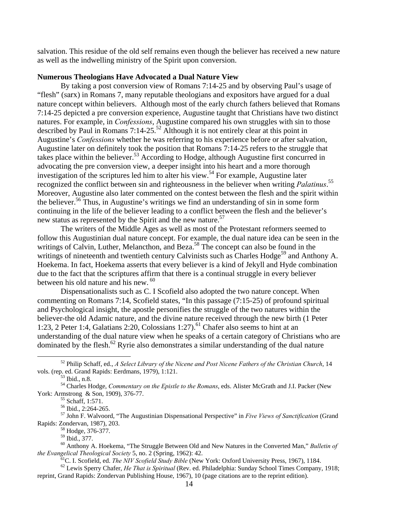salvation. This residue of the old self remains even though the believer has received a new nature as well as the indwelling ministry of the Spirit upon conversion.

### **Numerous Theologians Have Advocated a Dual Nature View**

By taking a post conversion view of Romans 7:14-25 and by observing Paul's usage of "flesh" (sarx) in Romans 7, many reputable theologians and expositors have argued for a dual nature concept within believers. Although most of the early church fathers believed that Romans 7:14-25 depicted a pre conversion experience, Augustine taught that Christians have two distinct natures. For example, in *Confessions*, Augustine compared his own struggles with sin to those described by Paul in Romans  $7:14-25^{52}$  Although it is not entirely clear at this point in Augustine's *Confessions* whether he was referring to his experience before or after salvation, Augustine later on definitely took the position that Romans 7:14-25 refers to the struggle that takes place within the believer.<sup>53</sup> According to Hodge, although Augustine first concurred in advocating the pre conversion view, a deeper insight into his heart and a more thorough investigation of the scriptures led him to alter his view.<sup>54</sup> For example, Augustine later recognized the conflict between sin and righteousness in the believer when writing *Palatinus*. 55 Moreover, Augustine also later commented on the contest between the flesh and the spirit within the believer.<sup>56</sup> Thus, in Augustine's writings we find an understanding of sin in some form continuing in the life of the believer leading to a conflict between the flesh and the believer's new status as represented by the Spirit and the new nature.<sup>57</sup>

The writers of the Middle Ages as well as most of the Protestant reformers seemed to follow this Augustinian dual nature concept. For example, the dual nature idea can be seen in the writings of Calvin, Luther, Melancthon, and Beza.<sup>58</sup> The concept can also be found in the writings of nineteenth and twentieth century Calvinists such as Charles Hodge<sup>59</sup> and Anthony A. Hoekema. In fact, Hoekema asserts that every believer is a kind of Jekyll and Hyde combination due to the fact that the scriptures affirm that there is a continual struggle in every believer between his old nature and his new. <sup>60</sup>

Dispensationalists such as C. I Scofield also adopted the two nature concept. When commenting on Romans 7:14, Scofield states, "In this passage (7:15-25) of profound spiritual and Psychological insight, the apostle personifies the struggle of the two natures within the believer-the old Adamic nature, and the divine nature received through the new birth (1 Peter 1:23, 2 Peter 1:4, Galatians 2:20, Colossians 1:27).<sup>61</sup> Chafer also seems to hint at an understanding of the dual nature view when he speaks of a certain category of Christians who are dominated by the flesh.<sup>62</sup> Ryrie also demonstrates a similar understanding of the dual nature

 <sup>52</sup> Philip Schaff, ed., *A Select Library of the Nicene and Post Nicene Fathers of the Christian Church*, 14 vols. (rep. ed. Grand Rapids: Eerdmans, 1979), 1:121.<br><sup>53</sup> Ibid., n.8.

<sup>54</sup> Charles Hodge, *Commentary on the Epistle to the Romans*, eds. Alister McGrath and J.I. Packer (New York: Armstrong & Son, 1909), 376-77.<br>
Schaff, 1:571.

<sup>56</sup> Ibid., 2:264-265.

<sup>57</sup> John F. Walvoord, "The Augustinian Dispensational Perspective" in *Five Views of Sanctification* (Grand Rapids: Zondervan, 1987), 203. 58 Hodge, 376-377.

 $^{59}$  Ibid., 377.

<sup>60</sup> Anthony A. Hoekema, "The Struggle Between Old and New Natures in the Converted Man," *Bulletin of*  the Evangelical Theological Society 5, no. 2 (Spring, 1962): 42.<br><sup>61</sup>C. I. Scofield, ed. *The NIV Scofield Study Bible* (New York: Oxford University Press, 1967), 1184.<br><sup>62</sup> Lewis Sperry Chafer, *He That is Spiritual* (Rev

reprint, Grand Rapids: Zondervan Publishing House, 1967), 10 (page citations are to the reprint edition).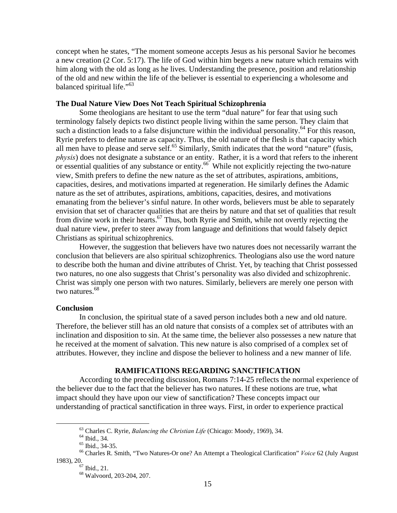concept when he states, "The moment someone accepts Jesus as his personal Savior he becomes a new creation (2 Cor. 5:17). The life of God within him begets a new nature which remains with him along with the old as long as he lives. Understanding the presence, position and relationship of the old and new within the life of the believer is essential to experiencing a wholesome and balanced spiritual life."<sup>63</sup>

## **The Dual Nature View Does Not Teach Spiritual Schizophrenia**

Some theologians are hesitant to use the term "dual nature" for fear that using such terminology falsely depicts two distinct people living within the same person. They claim that such a distinction leads to a false disjuncture within the individual personality.<sup>64</sup> For this reason, Ryrie prefers to define nature as capacity. Thus, the old nature of the flesh is that capacity which all men have to please and serve self.<sup>65</sup> Similarly, Smith indicates that the word "nature" (fusis, *physis*) does not designate a substance or an entity. Rather, it is a word that refers to the inherent or essential qualities of any substance or entity.<sup>66</sup> While not explicitly rejecting the two-nature view, Smith prefers to define the new nature as the set of attributes, aspirations, ambitions, capacities, desires, and motivations imparted at regeneration. He similarly defines the Adamic nature as the set of attributes, aspirations, ambitions, capacities, desires, and motivations emanating from the believer's sinful nature. In other words, believers must be able to separately envision that set of character qualities that are theirs by nature and that set of qualities that result from divine work in their hearts.<sup>67</sup> Thus, both Ryrie and Smith, while not overtly rejecting the dual nature view, prefer to steer away from language and definitions that would falsely depict Christians as spiritual schizophrenics.

However, the suggestion that believers have two natures does not necessarily warrant the conclusion that believers are also spiritual schizophrenics. Theologians also use the word nature to describe both the human and divine attributes of Christ. Yet, by teaching that Christ possessed two natures, no one also suggests that Christ's personality was also divided and schizophrenic. Christ was simply one person with two natures. Similarly, believers are merely one person with two natures.<sup>68</sup>

#### **Conclusion**

In conclusion, the spiritual state of a saved person includes both a new and old nature. Therefore, the believer still has an old nature that consists of a complex set of attributes with an inclination and disposition to sin. At the same time, the believer also possesses a new nature that he received at the moment of salvation. This new nature is also comprised of a complex set of attributes. However, they incline and dispose the believer to holiness and a new manner of life.

# **RAMIFICATIONS REGARDING SANCTIFICATION**

 According to the preceding discussion, Romans 7:14-25 reflects the normal experience of the believer due to the fact that the believer has two natures. If these notions are true, what impact should they have upon our view of sanctification? These concepts impact our understanding of practical sanctification in three ways. First, in order to experience practical

<sup>&</sup>lt;sup>63</sup> Charles C. Ryrie, *Balancing the Christian Life* (Chicago: Moody, 1969), 34.<br><sup>64</sup> Ibid., 34.

<sup>&</sup>lt;sup>65</sup> Ibid., 34-35.

<sup>66</sup> Charles R. Smith, "Two Natures-Or one? An Attempt a Theological Clarification" *Voice* 62 (July August 1983), 20.<br> $^{67}$  Ibid., 21.

<sup>68</sup> Walvoord, 203-204, 207.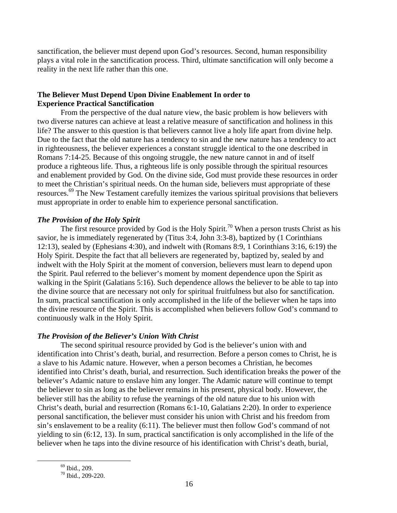sanctification, the believer must depend upon God's resources. Second, human responsibility plays a vital role in the sanctification process. Third, ultimate sanctification will only become a reality in the next life rather than this one.

# **The Believer Must Depend Upon Divine Enablement In order to Experience Practical Sanctification**

 From the perspective of the dual nature view, the basic problem is how believers with two diverse natures can achieve at least a relative measure of sanctification and holiness in this life? The answer to this question is that believers cannot live a holy life apart from divine help. Due to the fact that the old nature has a tendency to sin and the new nature has a tendency to act in righteousness, the believer experiences a constant struggle identical to the one described in Romans 7:14-25. Because of this ongoing struggle, the new nature cannot in and of itself produce a righteous life. Thus, a righteous life is only possible through the spiritual resources and enablement provided by God. On the divine side, God must provide these resources in order to meet the Christian's spiritual needs. On the human side, believers must appropriate of these resources.<sup>69</sup> The New Testament carefully itemizes the various spiritual provisions that believers must appropriate in order to enable him to experience personal sanctification.

## *The Provision of the Holy Spirit*

The first resource provided by God is the Holy Spirit.<sup>70</sup> When a person trusts Christ as his savior, he is immediately regenerated by (Titus 3:4, John 3:3-8), baptized by (1 Corinthians 12:13), sealed by (Ephesians 4:30), and indwelt with (Romans 8:9, 1 Corinthians 3:16, 6:19) the Holy Spirit. Despite the fact that all believers are regenerated by, baptized by, sealed by and indwelt with the Holy Spirit at the moment of conversion, believers must learn to depend upon the Spirit. Paul referred to the believer's moment by moment dependence upon the Spirit as walking in the Spirit (Galatians 5:16). Such dependence allows the believer to be able to tap into the divine source that are necessary not only for spiritual fruitfulness but also for sanctification. In sum, practical sanctification is only accomplished in the life of the believer when he taps into the divine resource of the Spirit. This is accomplished when believers follow God's command to continuously walk in the Holy Spirit.

## *The Provision of the Believer's Union With Christ*

The second spiritual resource provided by God is the believer's union with and identification into Christ's death, burial, and resurrection. Before a person comes to Christ, he is a slave to his Adamic nature. However, when a person becomes a Christian, he becomes identified into Christ's death, burial, and resurrection. Such identification breaks the power of the believer's Adamic nature to enslave him any longer. The Adamic nature will continue to tempt the believer to sin as long as the believer remains in his present, physical body. However, the believer still has the ability to refuse the yearnings of the old nature due to his union with Christ's death, burial and resurrection (Romans 6:1-10, Galatians 2:20). In order to experience personal sanctification, the believer must consider his union with Christ and his freedom from sin's enslavement to be a reality (6:11). The believer must then follow God's command of not yielding to sin (6:12, 13). In sum, practical sanctification is only accomplished in the life of the believer when he taps into the divine resource of his identification with Christ's death, burial,

 <sup>69</sup> Ibid., 209.

<sup>70</sup> Ibid., 209-220.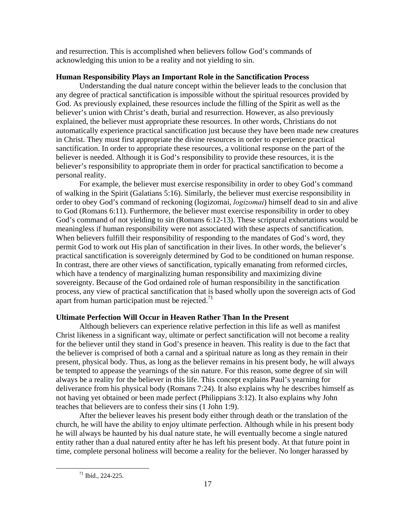and resurrection. This is accomplished when believers follow God's commands of acknowledging this union to be a reality and not yielding to sin.

# **Human Responsibility Plays an Important Role in the Sanctification Process**

Understanding the dual nature concept within the believer leads to the conclusion that any degree of practical sanctification is impossible without the spiritual resources provided by God. As previously explained, these resources include the filling of the Spirit as well as the believer's union with Christ's death, burial and resurrection. However, as also previously explained, the believer must appropriate these resources. In other words, Christians do not automatically experience practical sanctification just because they have been made new creatures in Christ. They must first appropriate the divine resources in order to experience practical sanctification. In order to appropriate these resources, a volitional response on the part of the believer is needed. Although it is God's responsibility to provide these resources, it is the believer's responsibility to appropriate them in order for practical sanctification to become a personal reality.

For example, the believer must exercise responsibility in order to obey God's command of walking in the Spirit (Galatians 5:16). Similarly, the believer must exercise responsibility in order to obey God's command of reckoning (logizomai, *logizomai*) himself dead to sin and alive to God (Romans 6:11). Furthermore, the believer must exercise responsibility in order to obey God's command of not yielding to sin (Romans 6:12-13). These scriptural exhortations would be meaningless if human responsibility were not associated with these aspects of sanctification. When believers fulfill their responsibility of responding to the mandates of God's word, they permit God to work out His plan of sanctification in their lives. In other words, the believer's practical sanctification is sovereignly determined by God to be conditioned on human response. In contrast, there are other views of sanctification, typically emanating from reformed circles, which have a tendency of marginalizing human responsibility and maximizing divine sovereignty. Because of the God ordained role of human responsibility in the sanctification process, any view of practical sanctification that is based wholly upon the sovereign acts of God apart from human participation must be rejected.<sup>71</sup>

# **Ultimate Perfection Will Occur in Heaven Rather Than In the Present**

Although believers can experience relative perfection in this life as well as manifest Christ likeness in a significant way, ultimate or perfect sanctification will not become a reality for the believer until they stand in God's presence in heaven. This reality is due to the fact that the believer is comprised of both a carnal and a spiritual nature as long as they remain in their present, physical body. Thus, as long as the believer remains in his present body, he will always be tempted to appease the yearnings of the sin nature. For this reason, some degree of sin will always be a reality for the believer in this life. This concept explains Paul's yearning for deliverance from his physical body (Romans 7:24). It also explains why he describes himself as not having yet obtained or been made perfect (Philippians 3:12). It also explains why John teaches that believers are to confess their sins (1 John 1:9).

 After the believer leaves his present body either through death or the translation of the church, he will have the ability to enjoy ultimate perfection. Although while in his present body he will always be haunted by his dual nature state, he will eventually become a single natured entity rather than a dual natured entity after he has left his present body. At that future point in time, complete personal holiness will become a reality for the believer. No longer harassed by

 <sup>71</sup> Ibid., 224-225.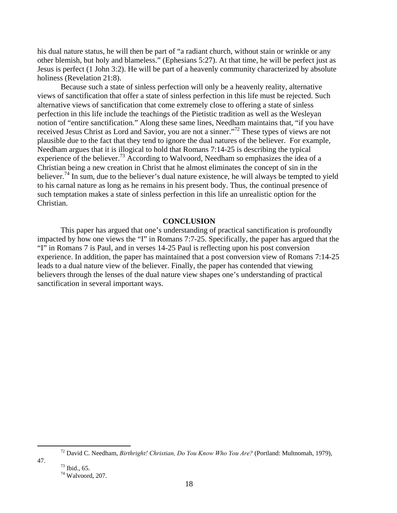his dual nature status, he will then be part of "a radiant church, without stain or wrinkle or any other blemish, but holy and blameless." (Ephesians 5:27). At that time, he will be perfect just as Jesus is perfect (1 John 3:2). He will be part of a heavenly community characterized by absolute holiness (Revelation 21:8).

 Because such a state of sinless perfection will only be a heavenly reality, alternative views of sanctification that offer a state of sinless perfection in this life must be rejected. Such alternative views of sanctification that come extremely close to offering a state of sinless perfection in this life include the teachings of the Pietistic tradition as well as the Wesleyan notion of "entire sanctification." Along these same lines, Needham maintains that, "if you have received Jesus Christ as Lord and Savior, you are not a sinner."72 These types of views are not plausible due to the fact that they tend to ignore the dual natures of the believer. For example, Needham argues that it is illogical to hold that Romans 7:14-25 is describing the typical experience of the believer.<sup>73</sup> According to Walvoord, Needham so emphasizes the idea of a Christian being a new creation in Christ that he almost eliminates the concept of sin in the believer.<sup>74</sup> In sum, due to the believer's dual nature existence, he will always be tempted to yield to his carnal nature as long as he remains in his present body. Thus, the continual presence of such temptation makes a state of sinless perfection in this life an unrealistic option for the Christian.

#### **CONCLUSION**

 This paper has argued that one's understanding of practical sanctification is profoundly impacted by how one views the "I" in Romans 7:7-25. Specifically, the paper has argued that the "I" in Romans 7 is Paul, and in verses 14-25 Paul is reflecting upon his post conversion experience. In addition, the paper has maintained that a post conversion view of Romans 7:14-25 leads to a dual nature view of the believer. Finally, the paper has contended that viewing believers through the lenses of the dual nature view shapes one's understanding of practical sanctification in several important ways.

47.  $^{73}$  Ibid., 65.

 <sup>72</sup> David C. Needham, *Birthright! Christian, Do You Know Who You Are?* (Portland: Multnomah, 1979),

<sup>74</sup> Walvoord, 207.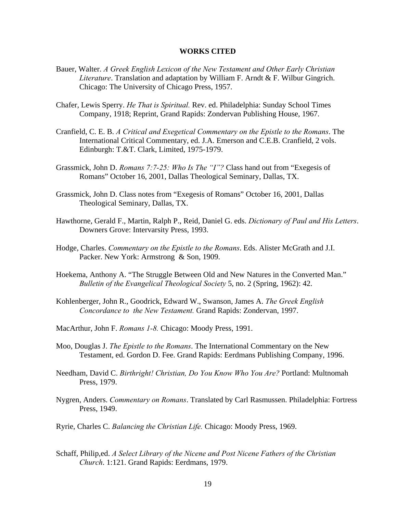### **WORKS CITED**

- Bauer, Walter. *A Greek English Lexicon of the New Testament and Other Early Christian Literature*. Translation and adaptation by William F. Arndt & F. Wilbur Gingrich. Chicago: The University of Chicago Press, 1957.
- Chafer, Lewis Sperry. *He That is Spiritual.* Rev. ed. Philadelphia: Sunday School Times Company, 1918; Reprint, Grand Rapids: Zondervan Publishing House, 1967.
- Cranfield, C. E. B. *A Critical and Exegetical Commentary on the Epistle to the Romans*. The International Critical Commentary, ed. J.A. Emerson and C.E.B. Cranfield, 2 vols. Edinburgh: T.&T. Clark, Limited, 1975-1979.
- Grassmick, John D. *Romans 7:7-25: Who Is The "I"?* Class hand out from "Exegesis of Romans" October 16, 2001, Dallas Theological Seminary, Dallas, TX.
- Grassmick, John D. Class notes from "Exegesis of Romans" October 16, 2001, Dallas Theological Seminary, Dallas, TX.
- Hawthorne, Gerald F., Martin, Ralph P., Reid, Daniel G. eds. *Dictionary of Paul and His Letters*. Downers Grove: Intervarsity Press, 1993.
- Hodge, Charles. *Commentary on the Epistle to the Romans*. Eds. Alister McGrath and J.I. Packer. New York: Armstrong & Son, 1909.
- Hoekema, Anthony A. "The Struggle Between Old and New Natures in the Converted Man." *Bulletin of the Evangelical Theological Society* 5, no. 2 (Spring, 1962): 42.
- Kohlenberger, John R., Goodrick, Edward W., Swanson, James A. *The Greek English Concordance to the New Testament.* Grand Rapids: Zondervan, 1997.
- MacArthur, John F. *Romans 1-8.* Chicago: Moody Press, 1991.
- Moo, Douglas J. *The Epistle to the Romans*. The International Commentary on the New Testament, ed. Gordon D. Fee. Grand Rapids: Eerdmans Publishing Company, 1996.
- Needham, David C. *Birthright! Christian, Do You Know Who You Are?* Portland: Multnomah Press, 1979.
- Nygren, Anders. *Commentary on Romans*. Translated by Carl Rasmussen. Philadelphia: Fortress Press, 1949.
- Ryrie, Charles C. *Balancing the Christian Life.* Chicago: Moody Press, 1969.
- Schaff, Philip,ed. *A Select Library of the Nicene and Post Nicene Fathers of the Christian Church*. 1:121. Grand Rapids: Eerdmans, 1979.